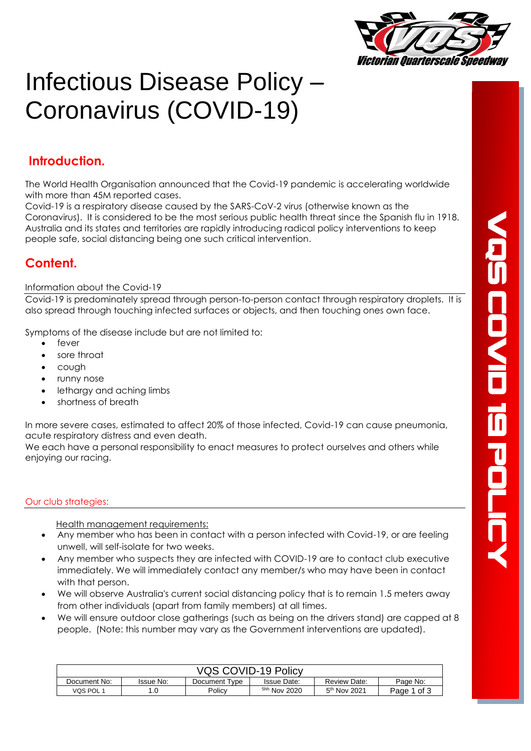

# Infectious Disease Policy – Coronavirus (COVID-19)

# **Introduction.**

The World Health Organisation announced that the Covid-19 pandemic is accelerating worldwide with more than 45M reported cases.

Covid-19 is a respiratory disease caused by the SARS-CoV-2 virus (otherwise known as the Coronavirus). It is considered to be the most serious public health threat since the Spanish flu in 1918. Australia and its states and territories are rapidly introducing radical policy interventions to keep people safe, social distancing being one such critical intervention.

# **Content.**

#### Information about the Covid-19

Covid-19 is predominately spread through person-to-person contact through respiratory droplets. It is also spread through touching infected surfaces or objects, and then touching ones own face.

Symptoms of the disease include but are not limited to:

- fever
- sore throat
- cough
- runny nose
- lethargy and aching limbs
- shortness of breath

In more severe cases, estimated to affect 20% of those infected, Covid-19 can cause pneumonia, acute respiratory distress and even death.

We each have a personal responsibility to enact measures to protect ourselves and others while enjoying our racing.

## Our club strategies:

Health management requirements:

- Any member who has been in contact with a person infected with Covid-19, or are feeling unwell, will self-isolate for two weeks.
- Any member who suspects they are infected with COVID-19 are to contact club executive immediately. We will immediately contact any member/s who may have been in contact with that person.
- We will observe Australia's current social distancing policy that is to remain 1.5 meters away from other individuals (apart from family members) at all times.
- We will ensure outdoor close gatherings (such as being on the drivers stand) are capped at 8 people. (Note: this number may vary as the Government interventions are updated).

| VQS COVID-19 Policy |           |               |                         |                |             |  |  |
|---------------------|-----------|---------------|-------------------------|----------------|-------------|--|--|
| Document No:        | Issue No: | Document Type | <b>Issue Date:</b>      | Review Date:   | Page No:    |  |  |
| VQS POL 1           |           | Policy        | <sup>5hh</sup> Nov 2020 | $5th$ Nov 2021 | Page 1 of 3 |  |  |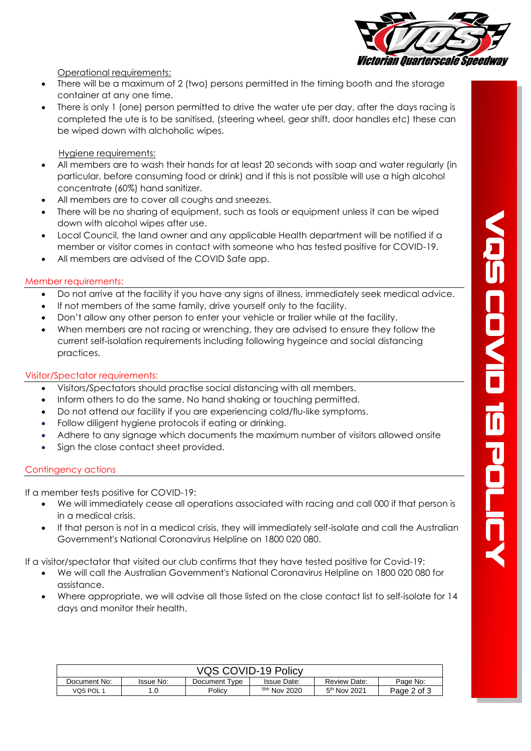

Operational requirements:

- There will be a maximum of 2 (two) persons permitted in the timing booth and the storage container at any one time.
- There is only 1 (one) person permitted to drive the water ute per day, after the days racing is completed the ute is to be sanitised, (steering wheel, gear shift, door handles etc) these can be wiped down with alchoholic wipes.

### Hygiene requirements:

- All members are to wash their hands for at least 20 seconds with soap and water regularly (in particular, before consuming food or drink) and if this is not possible will use a high alcohol concentrate (60%) hand sanitizer.
- All members are to cover all coughs and sneezes.
- There will be no sharing of equipment, such as tools or equipment unless it can be wiped down with alcohol wipes after use.
- Local Council, the land owner and any applicable Health department will be notified if a member or visitor comes in contact with someone who has tested positive for COVID-19.
- All members are advised of the COVID Safe app.

#### Member requirements:

- Do not arrive at the facility if you have any signs of illness, immediately seek medical advice.
- If not members of the same family, drive yourself only to the facility.
- Don't allow any other person to enter your vehicle or trailer while at the facility.
- When members are not racing or wrenching, they are advised to ensure they follow the current self-isolation requirements including following hygeince and social distancing practices.

#### Visitor/Spectator requirements:

- Visitors/Spectators should practise social distancing with all members.
- Inform others to do the same. No hand shaking or touching permitted.
- Do not attend our facility if you are experiencing cold/flu-like symptoms.
- Follow diligent hygiene protocols if eating or drinking.
- Adhere to any signage which documents the maximum number of visitors allowed onsite
- Sign the close contact sheet provided.

## Contingency actions

If a member tests positive for COVID-19:

- We will immediately cease all operations associated with racing and call 000 if that person is in a medical crisis.
- If that person is not in a medical crisis, they will immediately self-isolate and call the Australian Government's National Coronavirus Helpline on 1800 020 080.

If a visitor/spectator that visited our club confirms that they have tested positive for Covid-19:

- We will call the Australian Government's National Coronavirus Helpline on 1800 020 080 for assistance.
- Where appropriate, we will advise all those listed on the close contact list to self-isolate for 14 days and monitor their health.

| VQS COVID-19 Policy |           |               |                    |                          |             |  |  |
|---------------------|-----------|---------------|--------------------|--------------------------|-------------|--|--|
| Document No:        | Issue No: | Document Type | <b>Issue Date:</b> | Review Date:             | Page No:    |  |  |
| VQS POL 1           |           | Policv        | 5hh Nov 2020       | $5^{\text{th}}$ Nov 2021 | Page 2 of 3 |  |  |